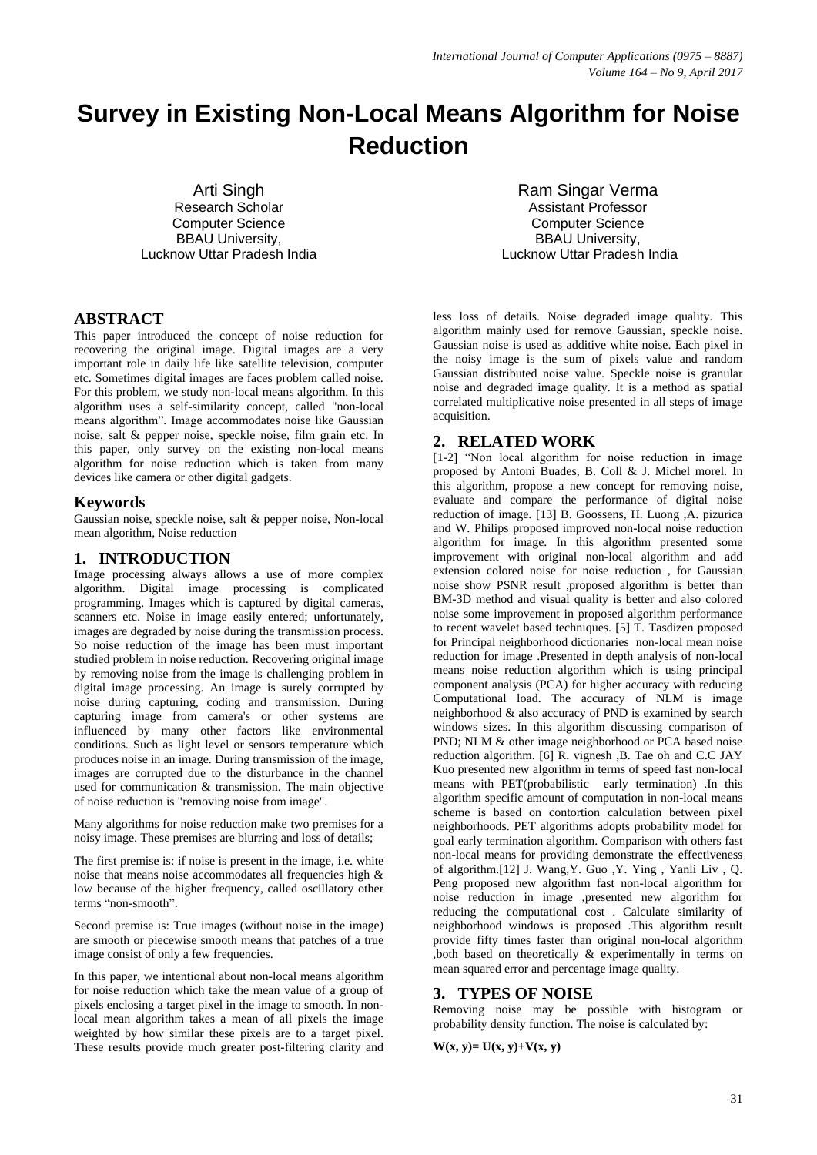# **Survey in Existing Non-Local Means Algorithm for Noise Reduction**

Arti Singh Research Scholar Computer Science BBAU University, Lucknow Uttar Pradesh India

Ram Singar Verma Assistant Professor Computer Science BBAU University, Lucknow Uttar Pradesh India

# **ABSTRACT**

This paper introduced the concept of noise reduction for recovering the original image. Digital images are a very important role in daily life like satellite television, computer etc. Sometimes digital images are faces problem called noise. For this problem, we study non-local means algorithm. In this algorithm uses a self-similarity concept, called "non-local means algorithm". Image accommodates noise like Gaussian noise, salt & pepper noise, speckle noise, film grain etc. In this paper, only survey on the existing non-local means algorithm for noise reduction which is taken from many devices like camera or other digital gadgets.

# **Keywords**

Gaussian noise, speckle noise, salt & pepper noise, Non-local mean algorithm, Noise reduction

# **1. INTRODUCTION**

Image processing always allows a use of more complex algorithm. Digital image processing is complicated programming. Images which is captured by digital cameras, scanners etc. Noise in image easily entered; unfortunately, images are degraded by noise during the transmission process. So noise reduction of the image has been must important studied problem in noise reduction. Recovering original image by removing noise from the image is challenging problem in digital image processing. An image is surely corrupted by noise during capturing, coding and transmission. During capturing image from camera's or other systems are influenced by many other factors like environmental conditions. Such as light level or sensors temperature which produces noise in an image. During transmission of the image, images are corrupted due to the disturbance in the channel used for communication & transmission. The main objective of noise reduction is "removing noise from image".

Many algorithms for noise reduction make two premises for a noisy image. These premises are blurring and loss of details;

The first premise is: if noise is present in the image, i.e. white noise that means noise accommodates all frequencies high & low because of the higher frequency, called oscillatory other terms "non-smooth".

Second premise is: True images (without noise in the image) are smooth or piecewise smooth means that patches of a true image consist of only a few frequencies.

In this paper, we intentional about non-local means algorithm for noise reduction which take the mean value of a group of pixels enclosing a target pixel in the image to smooth. In nonlocal mean algorithm takes a mean of all pixels the image weighted by how similar these pixels are to a target pixel. These results provide much greater post-filtering clarity and

less loss of details. Noise degraded image quality. This algorithm mainly used for remove Gaussian, speckle noise. Gaussian noise is used as additive white noise. Each pixel in the noisy image is the sum of pixels value and random Gaussian distributed noise value. Speckle noise is granular noise and degraded image quality. It is a method as spatial correlated multiplicative noise presented in all steps of image acquisition.

# **2. RELATED WORK**

[1-2] "Non local algorithm for noise reduction in image proposed by Antoni Buades, B. Coll & J. Michel morel. In this algorithm, propose a new concept for removing noise, evaluate and compare the performance of digital noise reduction of image. [13] B. Goossens, H. Luong ,A. pizurica and W. Philips proposed improved non-local noise reduction algorithm for image. In this algorithm presented some improvement with original non-local algorithm and add extension colored noise for noise reduction , for Gaussian noise show PSNR result ,proposed algorithm is better than BM-3D method and visual quality is better and also colored noise some improvement in proposed algorithm performance to recent wavelet based techniques. [5] T. Tasdizen proposed for Principal neighborhood dictionaries non-local mean noise reduction for image .Presented in depth analysis of non-local means noise reduction algorithm which is using principal component analysis (PCA) for higher accuracy with reducing Computational load. The accuracy of NLM is image neighborhood & also accuracy of PND is examined by search windows sizes. In this algorithm discussing comparison of PND; NLM & other image neighborhood or PCA based noise reduction algorithm. [6] R. vignesh ,B. Tae oh and C.C JAY Kuo presented new algorithm in terms of speed fast non-local means with PET(probabilistic early termination) .In this algorithm specific amount of computation in non-local means scheme is based on contortion calculation between pixel neighborhoods. PET algorithms adopts probability model for goal early termination algorithm. Comparison with others fast non-local means for providing demonstrate the effectiveness of algorithm.[12] J. Wang,Y. Guo ,Y. Ying , Yanli Liv , Q. Peng proposed new algorithm fast non-local algorithm for noise reduction in image ,presented new algorithm for reducing the computational cost . Calculate similarity of neighborhood windows is proposed .This algorithm result provide fifty times faster than original non-local algorithm ,both based on theoretically & experimentally in terms on mean squared error and percentage image quality.

# **3. TYPES OF NOISE**

Removing noise may be possible with histogram or probability density function. The noise is calculated by:

 $W(x, y) = U(x, y) + V(x, y)$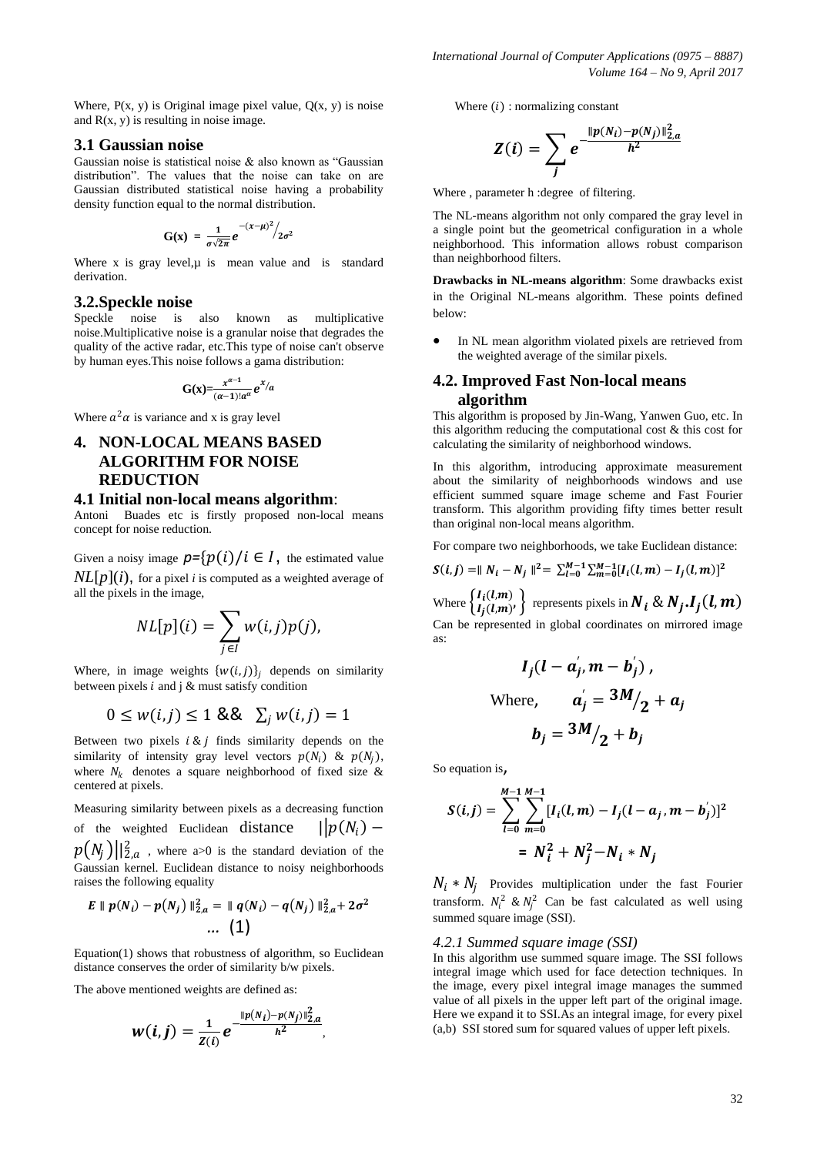Where,  $P(x, y)$  is Original image pixel value,  $Q(x, y)$  is noise and  $R(x, y)$  is resulting in noise image.

### **3.1 Gaussian noise**

Gaussian noise is statistical noise & also known as "Gaussian distribution". The values that the noise can take on are Gaussian distributed statistical noise having a probability density function equal to the normal distribution.

$$
G(x) = \frac{1}{\sigma\sqrt{2\pi}}e^{-(x-\mu)^2/2}\sigma^2
$$

Where x is gray level, $\mu$  is mean value and is standard derivation.

#### **3.2.Speckle noise**

Speckle noise is also known as multiplicative noise.Multiplicative noise is a granular noise that degrades the quality of the active radar, etc.This type of noise can't observe by human eyes.This noise follows a gama distribution:

$$
G(x) = \frac{x^{\alpha-1}}{(\alpha-1)! \alpha^{\alpha}} e^{x/\alpha}
$$

Where  $a^2\alpha$  is variance and x is gray level

# **4. NON-LOCAL MEANS BASED ALGORITHM FOR NOISE REDUCTION**

#### **4.1 Initial non-local means algorithm**:

Antoni Buades etc is firstly proposed non-local means concept for noise reduction.

Given a noisy image  $p=\{p(i)/i \in I\}$ , the estimated value  $NL[p](i)$ , for a pixel *i* is computed as a weighted average of all the pixels in the image,

$$
NL[p](i) = \sum_{j \in I} w(i,j)p(j),
$$

Where, in image weights  $\{w(i, j)\}_i$  depends on similarity between pixels  $i$  and  $j$  & must satisfy condition

$$
0 \le w(i,j) \le 1 \& \& \sum_j w(i,j) = 1
$$

Between two pixels  $i \& j$  finds similarity depends on the similarity of intensity gray level vectors  $p(N_i)$  &  $p(N_j)$ , where  $N_k$  denotes a square neighborhood of fixed size & centered at pixels.

Measuring similarity between pixels as a decreasing function of the weighted Euclidean distance |  $||p(N_i)$  $p\big(N_j\big) ||_{2,a}^2$  , where a>0 is the standard deviation of the Gaussian kernel. Euclidean distance to noisy neighborhoods raises the following equality

$$
E \| p(N_i) - p(N_j) \|_{2,a}^2 = \| q(N_i) - q(N_j) \|_{2,a}^2 + 2\sigma^2
$$
  
... (1)

Equation(1) shows that robustness of algorithm, so Euclidean distance conserves the order of similarity b/w pixels.

The above mentioned weights are defined as:

$$
w(i,j) = \frac{1}{Z(i)} e^{-\frac{||p(N_i) - p(N_j)||_{2,a}^2}{h^2}},
$$

Where  $(i)$ : normalizing constant

$$
Z(i) = \sum_{j} e^{\frac{\|p(N_i) - p(N_j)\|_{2,a}^2}{h^2}}
$$

Where , parameter h :degree of filtering.

The NL-means algorithm not only compared the gray level in a single point but the geometrical configuration in a whole neighborhood. This information allows robust comparison than neighborhood filters.

**Drawbacks in NL-means algorithm**: Some drawbacks exist in the Original NL-means algorithm. These points defined below:

 In NL mean algorithm violated pixels are retrieved from the weighted average of the similar pixels.

# **4.2. Improved Fast Non-local means algorithm**

This algorithm is proposed by Jin-Wang, Yanwen Guo, etc. In this algorithm reducing the computational cost  $\&$  this cost for calculating the similarity of neighborhood windows.

In this algorithm, introducing approximate measurement about the similarity of neighborhoods windows and use efficient summed square image scheme and Fast Fourier transform. This algorithm providing fifty times better result than original non-local means algorithm.

For compare two neighborhoods, we take Euclidean distance:

$$
S(i,j) = || N_i - N_j ||^2 = \sum_{l=0}^{M-1} \sum_{m=0}^{M-1} [I_i(l,m) - I_j(l,m)]^2
$$

Where  $\begin{cases} I_i(t,m) \\ I_j(l,m) \end{cases}$  $\left\{ \begin{array}{l} I_{i}(l,m) \ I_{i}(l,m)' \end{array} \right\}$  represents pixels in  $\pmb{N_{i}}$  &  $\pmb{N_{j}}$   $\pmb{I_{j}}(\pmb{l},\pmb{m})$ Can be represented in global coordinates on mirrored image as:

$$
I_j(l - a_j', m - b_j'),
$$
  
Where, 
$$
a_j' = \frac{3M}{2} + a_j
$$

$$
b_j = \frac{3M}{2} + b_j
$$

So equation is,

$$
S(i,j) = \sum_{l=0}^{M-1} \sum_{m=0}^{M-1} [I_i(l,m) - I_j(l-a_j, m-b'_j)]^2
$$
  
=  $N_i^2 + N_j^2 - N_i * N_j$ 

 $N_i * N_j$  Provides multiplication under the fast Fourier transform.  $N_i^2 \& N_j^2$  Can be fast calculated as well using summed square image (SSI).

#### *4.2.1 Summed square image (SSI)*

In this algorithm use summed square image. The SSI follows integral image which used for face detection techniques. In the image, every pixel integral image manages the summed value of all pixels in the upper left part of the original image. Here we expand it to SSI.As an integral image, for every pixel (a,b) SSI stored sum for squared values of upper left pixels.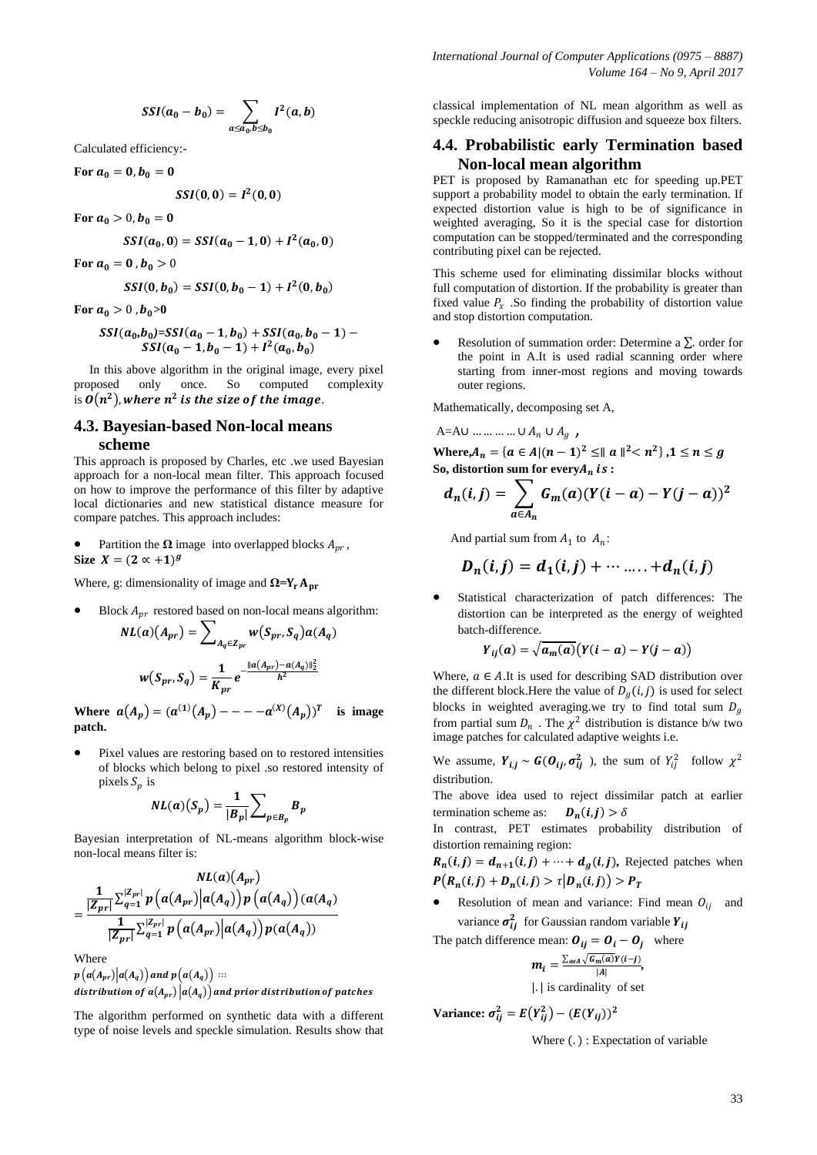$$
SSI(a_0 - b_0) = \sum_{a \le a_0, b \le b_0} I^2(a, b)
$$

Calculated efficiency:-

For  $a_0 = 0, b_0 = 0$ 

$$
SSI(0,0)=I^2(0,0)
$$

For  $a_0 > 0, b_0 = 0$ 

$$
SSI(a_0, 0) = SSL(a_0 - 1, 0) + I^2(a_0, 0)
$$

For  $a_0 = 0$ ,  $b_0 > 0$ 

$$
SSI(0, b_0) = SSI(0, b_0 - 1) + I^2(0, b_0)
$$

For  $a_0 > 0$ ,  $b_0 > 0$ 

$$
SSI(a_0,b_0)=SSI(a_0-1,b_0)+SSI(a_0,b_0-1)-\nSSI(a_0-1,b_0-1)+I^2(a_0,b_0)
$$

 In this above algorithm in the original image, every pixel proposed only once. So computed complexity is  $\boldsymbol{0}(n^2)$ , where  $n^2$  is the size of the image.

# **4.3. Bayesian-based Non-local means scheme**

This approach is proposed by Charles, etc .we used Bayesian approach for a non-local mean filter. This approach focused on how to improve the performance of this filter by adaptive local dictionaries and new statistical distance measure for compare patches. This approach includes:

• Partition the  $\Omega$  image into overlapped blocks  $A_{pr}$ , Size  $X = (2 \alpha + 1)^g$ 

Where, g: dimensionality of image and **Ω=**

 $\bullet$  Block  $A_{pr}$  restored based on non-local means algorithm:

$$
NL(a)(A_{pr}) = \sum_{A_q \in Z_{pr}} w(S_{pr}, S_q) a(A_q)
$$

$$
w(S_{pr}, S_q) = \frac{1}{K_{pr}} e^{-\frac{||a(A_{pr}) - a(A_q)||_2^2}{h^2}}
$$

**Where**  $a(A_p) = (a^{(1)}(A_p) - - - -a^{(X)}(A_p))^T$ **is image patch.**

 Pixel values are restoring based on to restored intensities of blocks which belong to pixel .so restored intensity of pixels  $S_p$  is

$$
NL(a)(S_p) = \frac{1}{|B_p|} \sum_{p \in B_p} B_p
$$

Bayesian interpretation of NL-means algorithm block-wise non-local means filter is:

$$
NL(a)(A_{pr})
$$
  
= 
$$
\frac{\frac{1}{|Z_{pr}|}\sum_{q=1}^{|Z_{pr}|}p(a(A_{pr})|a(A_{q}))p(a(A_{q}))}{\frac{1}{|Z_{pr}|}\sum_{q=1}^{|Z_{pr}|}p(a(A_{pr})|a(A_{q}))p(a(A_{q}))}
$$

**Where** 

 $p(a(A_{pr})|a(A_q))$  and  $p(a(A_q))$  ::: distribution of  $a(A_{pr})|a(A_q)|$  and prior distribution of patches

The algorithm performed on synthetic data with a different type of noise levels and speckle simulation. Results show that classical implementation of NL mean algorithm as well as speckle reducing anisotropic diffusion and squeeze box filters.

# **4.4. Probabilistic early Termination based Non-local mean algorithm**

PET is proposed by Ramanathan etc for speeding up.PET support a probability model to obtain the early termination. If expected distortion value is high to be of significance in weighted averaging, So it is the special case for distortion computation can be stopped/terminated and the corresponding contributing pixel can be rejected.

This scheme used for eliminating dissimilar blocks without full computation of distortion. If the probability is greater than fixed value  $P_x$ . So finding the probability of distortion value and stop distortion computation.

Resolution of summation order: Determine a  $\Sigma$ , order for the point in A.It is used radial scanning order where starting from inner-most regions and moving towards outer regions.

Mathematically, decomposing set A,

$$
A = AU \dots \dots \dots \dots \cup A_n \cup A_g
$$

**Where,**  $A_n = \{a \in A | (n-1)^2 \le ||a||^2 < n^2\}, 1 \le n \le g\}$ So, distortion sum for every $A_n$  is:

$$
d_n(i,j) = \sum_{a \in A_n} G_m(a) (Y(i-a) - Y(j-a))^2
$$

And partial sum from  $A_1$  to  $A_n$ :

$$
D_n(i,j) = d_1(i,j) + \cdots \ldots + d_n(i,j)
$$

 Statistical characterization of patch differences: The distortion can be interpreted as the energy of weighted batch-difference.

$$
Y_{ij}(a) = \sqrt{a_m(a)}\big(Y(i-a) - Y(j-a)\big)
$$

Where,  $a \in A$ .It is used for describing SAD distribution over the different block. Here the value of  $D_q(i, j)$  is used for select blocks in weighted averaging.we try to find total sum  $D_a$ from partial sum  $D_n$ . The  $\chi^2$  distribution is distance b/w two image patches for calculated adaptive weights i.e.

We assume,  $Y_{i,j} \sim G(O_{ij}, \sigma_{ij}^2)$ , the sum of  $Y_{ij}^2$  follow  $\chi^2$ distribution.

The above idea used to reject dissimilar patch at earlier termination scheme as:  $\mathbf{D}_n(i,j) > \delta$ 

In contrast, PET estimates probability distribution of distortion remaining region:

 $R_n(i,j) = d_{n+1}(i,j) + \cdots + d_g(i,j)$ , Rejected patches when  $P(R_n(i,j) + D_n(i,j) > \tau | D_n(i,j)) > P_T$ 

Resolution of mean and variance: Find mean  $O_{ij}$  and variance  $\sigma_{ij}^2$  for Gaussian random variable  $Y_{ij}$ 

The patch difference mean:  $\boldsymbol{0}_{ij} = \boldsymbol{0}_i - \boldsymbol{0}_j$  where

$$
m_i = \frac{\sum_{a \in A} \sqrt{G_m(a)} Y(i-j)}{|A|},
$$

|. | is cardinality of set

**Variance:**  $\sigma_{ij}^2 = E(Y_{ij}^2) - (E(Y_{ij}))^2$ 

Where  $(.)$ : Expectation of variable